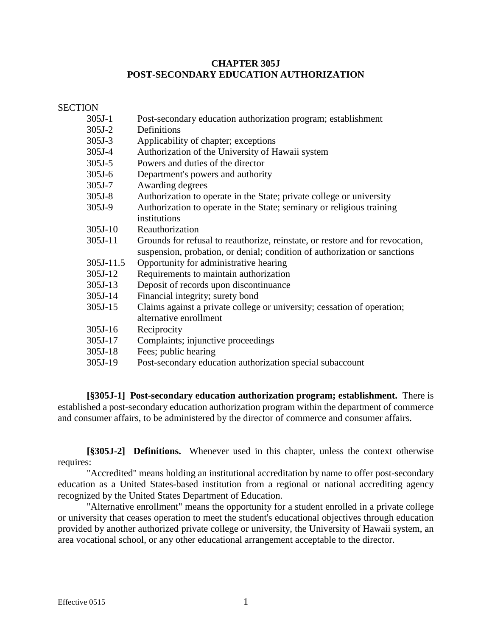## **CHAPTER 305J POST-SECONDARY EDUCATION AUTHORIZATION**

**SECTION** 

| $305J-1$ | Post-secondary education authorization program; establishment |
|----------|---------------------------------------------------------------|
| $305J-2$ | Definitions                                                   |

- 305J-3 Applicability of chapter; exceptions
- 305J-4 Authorization of the University of Hawaii system
- 305J-5 Powers and duties of the director
- 305J-6 Department's powers and authority
- 305J-7 Awarding degrees
- 305J-8 Authorization to operate in the State; private college or university
- 305J-9 Authorization to operate in the State; seminary or religious training institutions
- 305J-10 Reauthorization
- 305J-11 Grounds for refusal to reauthorize, reinstate, or restore and for revocation, suspension, probation, or denial; condition of authorization or sanctions
- 305J-11.5 Opportunity for administrative hearing
- 305J-12 Requirements to maintain authorization
- 305J-13 Deposit of records upon discontinuance
- 305J-14 Financial integrity; surety bond
- 305J-15 Claims against a private college or university; cessation of operation; alternative enrollment
- 305J-16 Reciprocity
- 305J-17 Complaints; injunctive proceedings
- 305J-18 Fees; public hearing
- 305J-19 Post-secondary education authorization special subaccount

**[§305J-1] Post-secondary education authorization program; establishment.** There is established a post-secondary education authorization program within the department of commerce and consumer affairs, to be administered by the director of commerce and consumer affairs.

**[§305J-2] Definitions.** Whenever used in this chapter, unless the context otherwise requires:

"Accredited" means holding an institutional accreditation by name to offer post-secondary education as a United States-based institution from a regional or national accrediting agency recognized by the United States Department of Education.

"Alternative enrollment" means the opportunity for a student enrolled in a private college or university that ceases operation to meet the student's educational objectives through education provided by another authorized private college or university, the University of Hawaii system, an area vocational school, or any other educational arrangement acceptable to the director.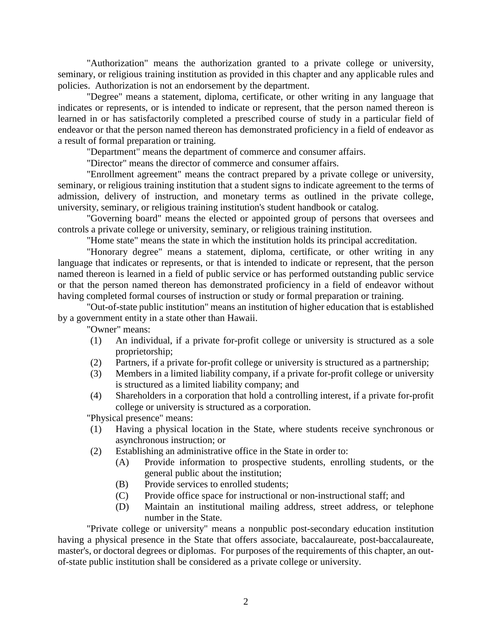"Authorization" means the authorization granted to a private college or university, seminary, or religious training institution as provided in this chapter and any applicable rules and policies. Authorization is not an endorsement by the department.

"Degree" means a statement, diploma, certificate, or other writing in any language that indicates or represents, or is intended to indicate or represent, that the person named thereon is learned in or has satisfactorily completed a prescribed course of study in a particular field of endeavor or that the person named thereon has demonstrated proficiency in a field of endeavor as a result of formal preparation or training.

"Department" means the department of commerce and consumer affairs.

"Director" means the director of commerce and consumer affairs.

"Enrollment agreement" means the contract prepared by a private college or university, seminary, or religious training institution that a student signs to indicate agreement to the terms of admission, delivery of instruction, and monetary terms as outlined in the private college, university, seminary, or religious training institution's student handbook or catalog.

"Governing board" means the elected or appointed group of persons that oversees and controls a private college or university, seminary, or religious training institution.

"Home state" means the state in which the institution holds its principal accreditation.

"Honorary degree" means a statement, diploma, certificate, or other writing in any language that indicates or represents, or that is intended to indicate or represent, that the person named thereon is learned in a field of public service or has performed outstanding public service or that the person named thereon has demonstrated proficiency in a field of endeavor without having completed formal courses of instruction or study or formal preparation or training.

"Out-of-state public institution" means an institution of higher education that is established by a government entity in a state other than Hawaii.

"Owner" means:

- (1) An individual, if a private for-profit college or university is structured as a sole proprietorship;
- (2) Partners, if a private for-profit college or university is structured as a partnership;
- (3) Members in a limited liability company, if a private for-profit college or university is structured as a limited liability company; and
- (4) Shareholders in a corporation that hold a controlling interest, if a private for-profit college or university is structured as a corporation.

"Physical presence" means:

- (1) Having a physical location in the State, where students receive synchronous or asynchronous instruction; or
- (2) Establishing an administrative office in the State in order to:
	- (A) Provide information to prospective students, enrolling students, or the general public about the institution;
	- (B) Provide services to enrolled students;
	- (C) Provide office space for instructional or non-instructional staff; and
	- (D) Maintain an institutional mailing address, street address, or telephone number in the State.

"Private college or university" means a nonpublic post-secondary education institution having a physical presence in the State that offers associate, baccalaureate, post-baccalaureate, master's, or doctoral degrees or diplomas. For purposes of the requirements of this chapter, an outof-state public institution shall be considered as a private college or university.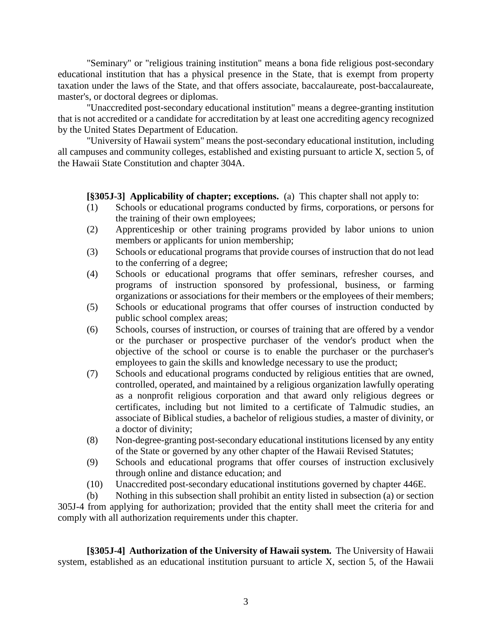"Seminary" or "religious training institution" means a bona fide religious post-secondary educational institution that has a physical presence in the State, that is exempt from property taxation under the laws of the State, and that offers associate, baccalaureate, post-baccalaureate, master's, or doctoral degrees or diplomas.

"Unaccredited post-secondary educational institution" means a degree-granting institution that is not accredited or a candidate for accreditation by at least one accrediting agency recognized by the United States Department of Education.

"University of Hawaii system" means the post-secondary educational institution, including all campuses and community colleges, established and existing pursuant to article X, section 5, of the Hawaii State Constitution and chapter 304A.

## **[§305J-3] Applicability of chapter; exceptions.** (a)This chapter shall not apply to:

- (1) Schools or educational programs conducted by firms, corporations, or persons for the training of their own employees;
- (2) Apprenticeship or other training programs provided by labor unions to union members or applicants for union membership;
- (3) Schools or educational programs that provide courses of instruction that do not lead to the conferring of a degree;
- (4) Schools or educational programs that offer seminars, refresher courses, and programs of instruction sponsored by professional, business, or farming organizations or associations for their members or the employees of their members;
- (5) Schools or educational programs that offer courses of instruction conducted by public school complex areas;
- (6) Schools, courses of instruction, or courses of training that are offered by a vendor or the purchaser or prospective purchaser of the vendor's product when the objective of the school or course is to enable the purchaser or the purchaser's employees to gain the skills and knowledge necessary to use the product;
- (7) Schools and educational programs conducted by religious entities that are owned, controlled, operated, and maintained by a religious organization lawfully operating as a nonprofit religious corporation and that award only religious degrees or certificates, including but not limited to a certificate of Talmudic studies, an associate of Biblical studies, a bachelor of religious studies, a master of divinity, or a doctor of divinity;
- (8) Non-degree-granting post-secondary educational institutions licensed by any entity of the State or governed by any other chapter of the Hawaii Revised Statutes;
- (9) Schools and educational programs that offer courses of instruction exclusively through online and distance education; and
- (10) Unaccredited post-secondary educational institutions governed by chapter 446E.

(b) Nothing in this subsection shall prohibit an entity listed in subsection (a) or section 305J-4 from applying for authorization; provided that the entity shall meet the criteria for and comply with all authorization requirements under this chapter.

**[§305J-4] Authorization of the University of Hawaii system.** The University of Hawaii system, established as an educational institution pursuant to article X, section 5, of the Hawaii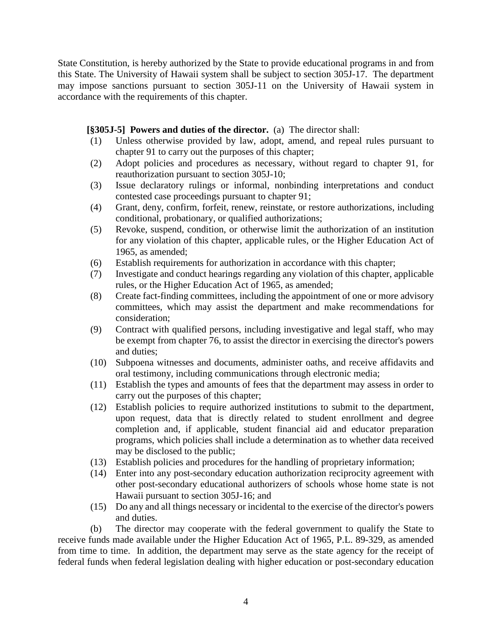State Constitution, is hereby authorized by the State to provide educational programs in and from this State. The University of Hawaii system shall be subject to section 305J-17. The department may impose sanctions pursuant to section 305J-11 on the University of Hawaii system in accordance with the requirements of this chapter.

## **[§305J-5] Powers and duties of the director.** (a) The director shall:

- (1) Unless otherwise provided by law, adopt, amend, and repeal rules pursuant to chapter 91 to carry out the purposes of this chapter;
- (2) Adopt policies and procedures as necessary, without regard to chapter 91, for reauthorization pursuant to section 305J-10;
- (3) Issue declaratory rulings or informal, nonbinding interpretations and conduct contested case proceedings pursuant to chapter 91;
- (4) Grant, deny, confirm, forfeit, renew, reinstate, or restore authorizations, including conditional, probationary, or qualified authorizations;
- (5) Revoke, suspend, condition, or otherwise limit the authorization of an institution for any violation of this chapter, applicable rules, or the Higher Education Act of 1965, as amended;
- (6) Establish requirements for authorization in accordance with this chapter;
- (7) Investigate and conduct hearings regarding any violation of this chapter, applicable rules, or the Higher Education Act of 1965, as amended;
- (8) Create fact-finding committees, including the appointment of one or more advisory committees, which may assist the department and make recommendations for consideration;
- (9) Contract with qualified persons, including investigative and legal staff, who may be exempt from chapter 76, to assist the director in exercising the director's powers and duties;
- (10) Subpoena witnesses and documents, administer oaths, and receive affidavits and oral testimony, including communications through electronic media;
- (11) Establish the types and amounts of fees that the department may assess in order to carry out the purposes of this chapter;
- (12) Establish policies to require authorized institutions to submit to the department, upon request, data that is directly related to student enrollment and degree completion and, if applicable, student financial aid and educator preparation programs, which policies shall include a determination as to whether data received may be disclosed to the public;
- (13) Establish policies and procedures for the handling of proprietary information;
- (14) Enter into any post-secondary education authorization reciprocity agreement with other post-secondary educational authorizers of schools whose home state is not Hawaii pursuant to section 305J-16; and
- (15) Do any and all things necessary or incidental to the exercise of the director's powers and duties.

(b) The director may cooperate with the federal government to qualify the State to receive funds made available under the Higher Education Act of 1965, P.L. 89-329, as amended from time to time. In addition, the department may serve as the state agency for the receipt of federal funds when federal legislation dealing with higher education or post-secondary education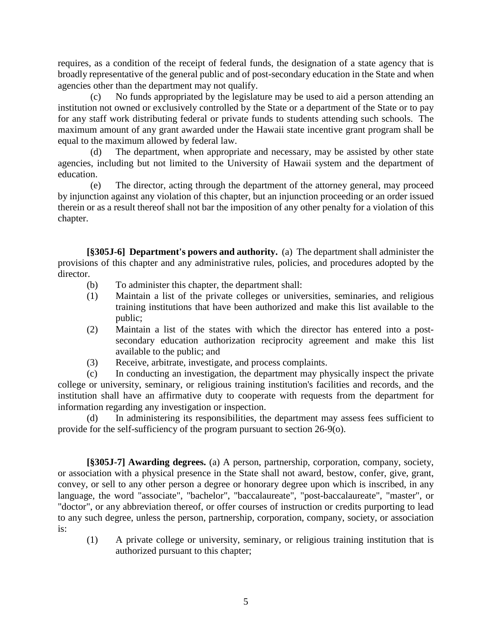requires, as a condition of the receipt of federal funds, the designation of a state agency that is broadly representative of the general public and of post-secondary education in the State and when agencies other than the department may not qualify.

No funds appropriated by the legislature may be used to aid a person attending an institution not owned or exclusively controlled by the State or a department of the State or to pay for any staff work distributing federal or private funds to students attending such schools. The maximum amount of any grant awarded under the Hawaii state incentive grant program shall be equal to the maximum allowed by federal law.

(d) The department, when appropriate and necessary, may be assisted by other state agencies, including but not limited to the University of Hawaii system and the department of education.

(e) The director, acting through the department of the attorney general, may proceed by injunction against any violation of this chapter, but an injunction proceeding or an order issued therein or as a result thereof shall not bar the imposition of any other penalty for a violation of this chapter.

**[§305J-6] Department's powers and authority.** (a) The department shall administer the provisions of this chapter and any administrative rules, policies, and procedures adopted by the director.

- (b) To administer this chapter, the department shall:
- (1) Maintain a list of the private colleges or universities, seminaries, and religious training institutions that have been authorized and make this list available to the public;
- (2) Maintain a list of the states with which the director has entered into a postsecondary education authorization reciprocity agreement and make this list available to the public; and
- (3) Receive, arbitrate, investigate, and process complaints.

(c) In conducting an investigation, the department may physically inspect the private college or university, seminary, or religious training institution's facilities and records, and the institution shall have an affirmative duty to cooperate with requests from the department for information regarding any investigation or inspection.

(d) In administering its responsibilities, the department may assess fees sufficient to provide for the self-sufficiency of the program pursuant to section 26-9(o).

**[§305J-7] Awarding degrees.** (a) A person, partnership, corporation, company, society, or association with a physical presence in the State shall not award, bestow, confer, give, grant, convey, or sell to any other person a degree or honorary degree upon which is inscribed, in any language, the word "associate", "bachelor", "baccalaureate", "post-baccalaureate", "master", or "doctor", or any abbreviation thereof, or offer courses of instruction or credits purporting to lead to any such degree, unless the person, partnership, corporation, company, society, or association is:

(1) A private college or university, seminary, or religious training institution that is authorized pursuant to this chapter;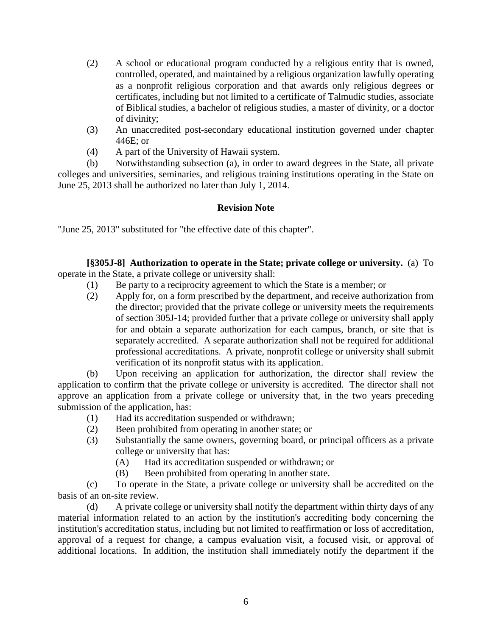- (2) A school or educational program conducted by a religious entity that is owned, controlled, operated, and maintained by a religious organization lawfully operating as a nonprofit religious corporation and that awards only religious degrees or certificates, including but not limited to a certificate of Talmudic studies, associate of Biblical studies, a bachelor of religious studies, a master of divinity, or a doctor of divinity;
- (3) An unaccredited post-secondary educational institution governed under chapter 446E; or
- (4) A part of the University of Hawaii system.

(b) Notwithstanding subsection (a), in order to award degrees in the State, all private colleges and universities, seminaries, and religious training institutions operating in the State on June 25, 2013 shall be authorized no later than July 1, 2014.

## **Revision Note**

"June 25, 2013" substituted for "the effective date of this chapter".

**[§305J-8] Authorization to operate in the State; private college or university.** (a) To operate in the State, a private college or university shall:

- (1) Be party to a reciprocity agreement to which the State is a member; or
- (2) Apply for, on a form prescribed by the department, and receive authorization from the director; provided that the private college or university meets the requirements of section 305J-14; provided further that a private college or university shall apply for and obtain a separate authorization for each campus, branch, or site that is separately accredited. A separate authorization shall not be required for additional professional accreditations. A private, nonprofit college or university shall submit verification of its nonprofit status with its application.

(b) Upon receiving an application for authorization, the director shall review the application to confirm that the private college or university is accredited. The director shall not approve an application from a private college or university that, in the two years preceding submission of the application, has:

- (1) Had its accreditation suspended or withdrawn;
- (2) Been prohibited from operating in another state; or
- (3) Substantially the same owners, governing board, or principal officers as a private college or university that has:
	- (A) Had its accreditation suspended or withdrawn; or
	- (B) Been prohibited from operating in another state.

(c) To operate in the State, a private college or university shall be accredited on the basis of an on-site review.

(d) A private college or university shall notify the department within thirty days of any material information related to an action by the institution's accrediting body concerning the institution's accreditation status, including but not limited to reaffirmation or loss of accreditation, approval of a request for change, a campus evaluation visit, a focused visit, or approval of additional locations. In addition, the institution shall immediately notify the department if the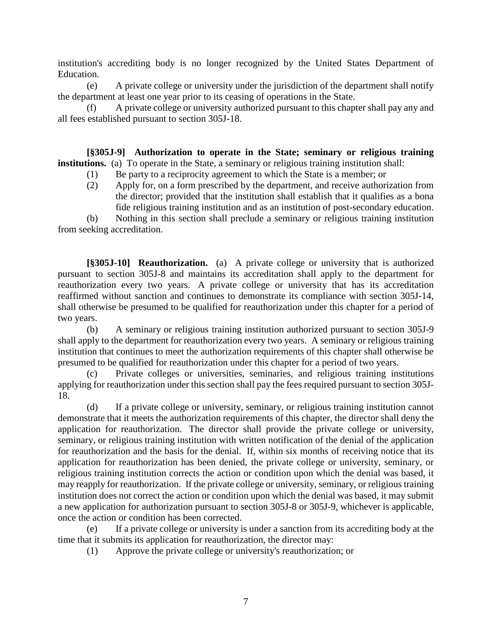institution's accrediting body is no longer recognized by the United States Department of Education.

(e) A private college or university under the jurisdiction of the department shall notify the department at least one year prior to its ceasing of operations in the State.

(f) A private college or university authorized pursuant to this chapter shall pay any and all fees established pursuant to section 305J-18.

**[§305J-9] Authorization to operate in the State; seminary or religious training institutions.** (a) To operate in the State, a seminary or religious training institution shall:

- (1) Be party to a reciprocity agreement to which the State is a member; or
- (2) Apply for, on a form prescribed by the department, and receive authorization from the director; provided that the institution shall establish that it qualifies as a bona fide religious training institution and as an institution of post-secondary education.

(b) Nothing in this section shall preclude a seminary or religious training institution from seeking accreditation.

**[§305J-10] Reauthorization.** (a) A private college or university that is authorized pursuant to section 305J-8 and maintains its accreditation shall apply to the department for reauthorization every two years. A private college or university that has its accreditation reaffirmed without sanction and continues to demonstrate its compliance with section 305J-14, shall otherwise be presumed to be qualified for reauthorization under this chapter for a period of two years.

(b) A seminary or religious training institution authorized pursuant to section 305J-9 shall apply to the department for reauthorization every two years. A seminary or religious training institution that continues to meet the authorization requirements of this chapter shall otherwise be presumed to be qualified for reauthorization under this chapter for a period of two years.

(c) Private colleges or universities, seminaries, and religious training institutions applying for reauthorization under this section shall pay the fees required pursuant to section 305J-18.

(d) If a private college or university, seminary, or religious training institution cannot demonstrate that it meets the authorization requirements of this chapter, the director shall deny the application for reauthorization. The director shall provide the private college or university, seminary, or religious training institution with written notification of the denial of the application for reauthorization and the basis for the denial. If, within six months of receiving notice that its application for reauthorization has been denied, the private college or university, seminary, or religious training institution corrects the action or condition upon which the denial was based, it may reapply for reauthorization. If the private college or university, seminary, or religious training institution does not correct the action or condition upon which the denial was based, it may submit a new application for authorization pursuant to section 305J-8 or 305J-9, whichever is applicable, once the action or condition has been corrected.

(e) If a private college or university is under a sanction from its accrediting body at the time that it submits its application for reauthorization, the director may:

(1) Approve the private college or university's reauthorization; or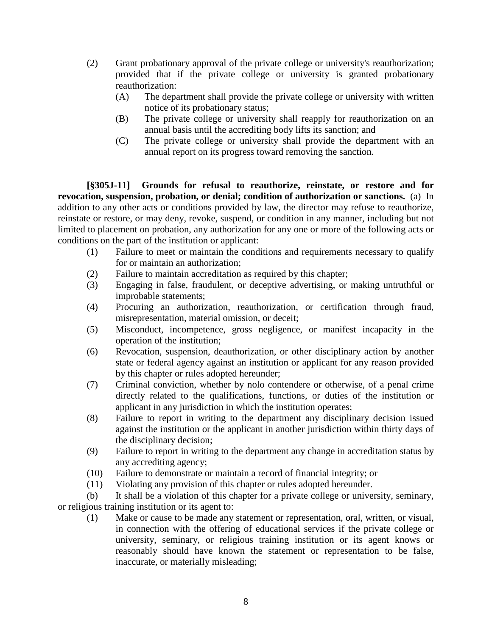- (2) Grant probationary approval of the private college or university's reauthorization; provided that if the private college or university is granted probationary reauthorization:
	- (A) The department shall provide the private college or university with written notice of its probationary status;
	- (B) The private college or university shall reapply for reauthorization on an annual basis until the accrediting body lifts its sanction; and
	- (C) The private college or university shall provide the department with an annual report on its progress toward removing the sanction.

**[§305J-11] Grounds for refusal to reauthorize, reinstate, or restore and for revocation, suspension, probation, or denial; condition of authorization or sanctions.** (a) In addition to any other acts or conditions provided by law, the director may refuse to reauthorize, reinstate or restore, or may deny, revoke, suspend, or condition in any manner, including but not limited to placement on probation, any authorization for any one or more of the following acts or conditions on the part of the institution or applicant:

- (1) Failure to meet or maintain the conditions and requirements necessary to qualify for or maintain an authorization;
- (2) Failure to maintain accreditation as required by this chapter;
- (3) Engaging in false, fraudulent, or deceptive advertising, or making untruthful or improbable statements;
- (4) Procuring an authorization, reauthorization, or certification through fraud, misrepresentation, material omission, or deceit;
- (5) Misconduct, incompetence, gross negligence, or manifest incapacity in the operation of the institution;
- (6) Revocation, suspension, deauthorization, or other disciplinary action by another state or federal agency against an institution or applicant for any reason provided by this chapter or rules adopted hereunder;
- (7) Criminal conviction, whether by nolo contendere or otherwise, of a penal crime directly related to the qualifications, functions, or duties of the institution or applicant in any jurisdiction in which the institution operates;
- (8) Failure to report in writing to the department any disciplinary decision issued against the institution or the applicant in another jurisdiction within thirty days of the disciplinary decision;
- (9) Failure to report in writing to the department any change in accreditation status by any accrediting agency;
- (10) Failure to demonstrate or maintain a record of financial integrity; or
- (11) Violating any provision of this chapter or rules adopted hereunder.

(b) It shall be a violation of this chapter for a private college or university, seminary, or religious training institution or its agent to:

(1) Make or cause to be made any statement or representation, oral, written, or visual, in connection with the offering of educational services if the private college or university, seminary, or religious training institution or its agent knows or reasonably should have known the statement or representation to be false, inaccurate, or materially misleading;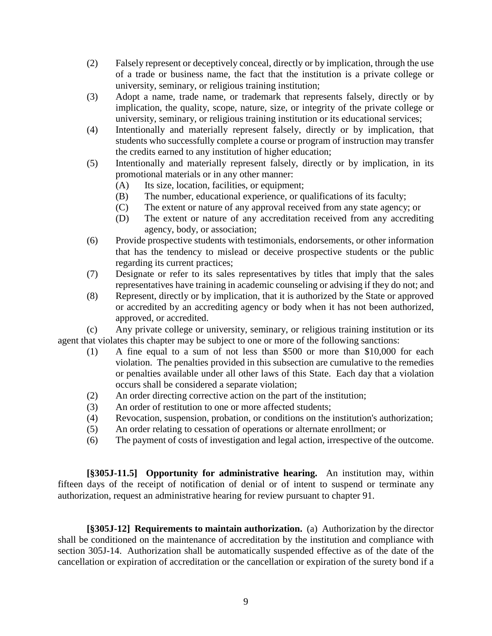- (2) Falsely represent or deceptively conceal, directly or by implication, through the use of a trade or business name, the fact that the institution is a private college or university, seminary, or religious training institution;
- (3) Adopt a name, trade name, or trademark that represents falsely, directly or by implication, the quality, scope, nature, size, or integrity of the private college or university, seminary, or religious training institution or its educational services;
- (4) Intentionally and materially represent falsely, directly or by implication, that students who successfully complete a course or program of instruction may transfer the credits earned to any institution of higher education;
- (5) Intentionally and materially represent falsely, directly or by implication, in its promotional materials or in any other manner:
	- (A) Its size, location, facilities, or equipment;
	- (B) The number, educational experience, or qualifications of its faculty;
	- (C) The extent or nature of any approval received from any state agency; or
	- (D) The extent or nature of any accreditation received from any accrediting agency, body, or association;
- (6) Provide prospective students with testimonials, endorsements, or other information that has the tendency to mislead or deceive prospective students or the public regarding its current practices;
- (7) Designate or refer to its sales representatives by titles that imply that the sales representatives have training in academic counseling or advising if they do not; and
- (8) Represent, directly or by implication, that it is authorized by the State or approved or accredited by an accrediting agency or body when it has not been authorized, approved, or accredited.

(c) Any private college or university, seminary, or religious training institution or its agent that violates this chapter may be subject to one or more of the following sanctions:

- (1) A fine equal to a sum of not less than \$500 or more than \$10,000 for each violation. The penalties provided in this subsection are cumulative to the remedies or penalties available under all other laws of this State. Each day that a violation occurs shall be considered a separate violation;
- (2) An order directing corrective action on the part of the institution;
- (3) An order of restitution to one or more affected students;
- (4) Revocation, suspension, probation, or conditions on the institution's authorization;
- (5) An order relating to cessation of operations or alternate enrollment; or
- (6) The payment of costs of investigation and legal action, irrespective of the outcome.

**[§305J-11.5] Opportunity for administrative hearing.** An institution may, within fifteen days of the receipt of notification of denial or of intent to suspend or terminate any authorization, request an administrative hearing for review pursuant to chapter 91.

**[§305J-12] Requirements to maintain authorization.** (a) Authorization by the director shall be conditioned on the maintenance of accreditation by the institution and compliance with section 305J-14. Authorization shall be automatically suspended effective as of the date of the cancellation or expiration of accreditation or the cancellation or expiration of the surety bond if a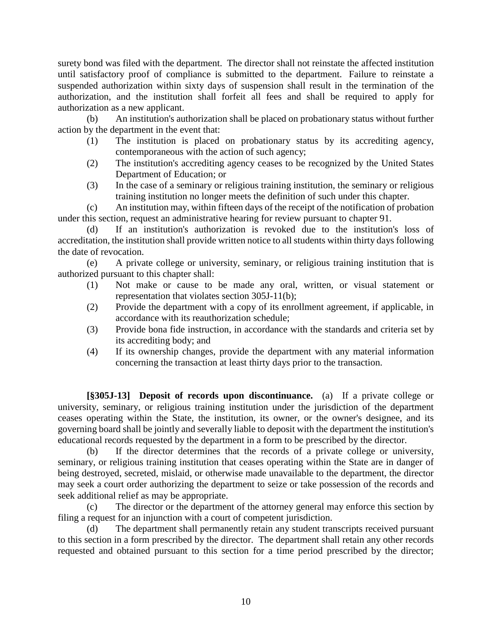surety bond was filed with the department. The director shall not reinstate the affected institution until satisfactory proof of compliance is submitted to the department. Failure to reinstate a suspended authorization within sixty days of suspension shall result in the termination of the authorization, and the institution shall forfeit all fees and shall be required to apply for authorization as a new applicant.

(b) An institution's authorization shall be placed on probationary status without further action by the department in the event that:

- (1) The institution is placed on probationary status by its accrediting agency, contemporaneous with the action of such agency;
- (2) The institution's accrediting agency ceases to be recognized by the United States Department of Education; or
- (3) In the case of a seminary or religious training institution, the seminary or religious training institution no longer meets the definition of such under this chapter.

(c) An institution may, within fifteen days of the receipt of the notification of probation under this section, request an administrative hearing for review pursuant to chapter 91.

(d) If an institution's authorization is revoked due to the institution's loss of accreditation, the institution shall provide written notice to all students within thirty days following the date of revocation.

(e) A private college or university, seminary, or religious training institution that is authorized pursuant to this chapter shall:

- (1) Not make or cause to be made any oral, written, or visual statement or representation that violates section 305J-11(b);
- (2) Provide the department with a copy of its enrollment agreement, if applicable, in accordance with its reauthorization schedule;
- (3) Provide bona fide instruction, in accordance with the standards and criteria set by its accrediting body; and
- (4) If its ownership changes, provide the department with any material information concerning the transaction at least thirty days prior to the transaction.

**[§305J-13] Deposit of records upon discontinuance.** (a) If a private college or university, seminary, or religious training institution under the jurisdiction of the department ceases operating within the State, the institution, its owner, or the owner's designee, and its governing board shall be jointly and severally liable to deposit with the department the institution's educational records requested by the department in a form to be prescribed by the director.

(b) If the director determines that the records of a private college or university, seminary, or religious training institution that ceases operating within the State are in danger of being destroyed, secreted, mislaid, or otherwise made unavailable to the department, the director may seek a court order authorizing the department to seize or take possession of the records and seek additional relief as may be appropriate.

(c) The director or the department of the attorney general may enforce this section by filing a request for an injunction with a court of competent jurisdiction.

(d) The department shall permanently retain any student transcripts received pursuant to this section in a form prescribed by the director. The department shall retain any other records requested and obtained pursuant to this section for a time period prescribed by the director;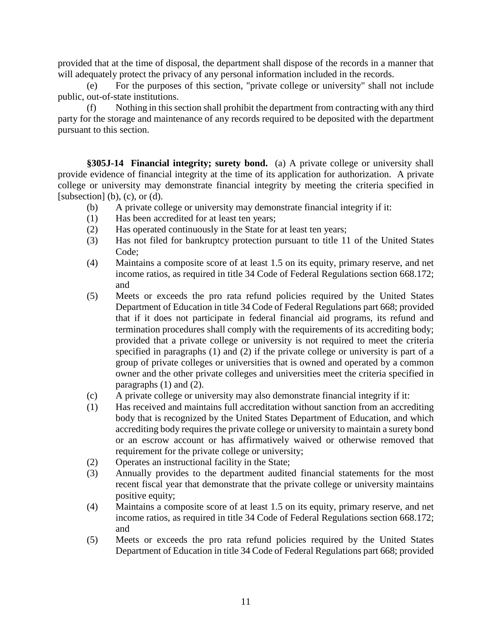provided that at the time of disposal, the department shall dispose of the records in a manner that will adequately protect the privacy of any personal information included in the records.

(e) For the purposes of this section, "private college or university" shall not include public, out-of-state institutions.

(f) Nothing in this section shall prohibit the department from contracting with any third party for the storage and maintenance of any records required to be deposited with the department pursuant to this section.

**§305J-14 Financial integrity; surety bond.** (a) A private college or university shall provide evidence of financial integrity at the time of its application for authorization. A private college or university may demonstrate financial integrity by meeting the criteria specified in [subsection]  $(b)$ ,  $(c)$ , or  $(d)$ .

- (b) A private college or university may demonstrate financial integrity if it:
- (1) Has been accredited for at least ten years;
- (2) Has operated continuously in the State for at least ten years;
- (3) Has not filed for bankruptcy protection pursuant to title 11 of the United States Code;
- (4) Maintains a composite score of at least 1.5 on its equity, primary reserve, and net income ratios, as required in title 34 Code of Federal Regulations section 668.172; and
- (5) Meets or exceeds the pro rata refund policies required by the United States Department of Education in title 34 Code of Federal Regulations part 668; provided that if it does not participate in federal financial aid programs, its refund and termination procedures shall comply with the requirements of its accrediting body; provided that a private college or university is not required to meet the criteria specified in paragraphs (1) and (2) if the private college or university is part of a group of private colleges or universities that is owned and operated by a common owner and the other private colleges and universities meet the criteria specified in paragraphs (1) and (2).
- (c) A private college or university may also demonstrate financial integrity if it:
- (1) Has received and maintains full accreditation without sanction from an accrediting body that is recognized by the United States Department of Education, and which accrediting body requires the private college or university to maintain a surety bond or an escrow account or has affirmatively waived or otherwise removed that requirement for the private college or university;
- (2) Operates an instructional facility in the State;
- (3) Annually provides to the department audited financial statements for the most recent fiscal year that demonstrate that the private college or university maintains positive equity;
- (4) Maintains a composite score of at least 1.5 on its equity, primary reserve, and net income ratios, as required in title 34 Code of Federal Regulations section 668.172; and
- (5) Meets or exceeds the pro rata refund policies required by the United States Department of Education in title 34 Code of Federal Regulations part 668; provided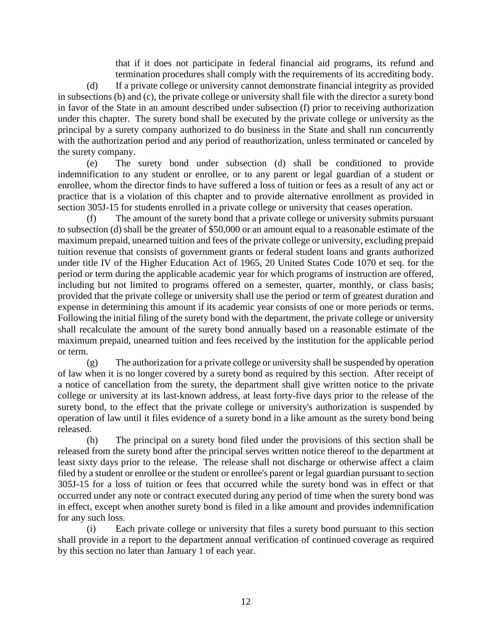that if it does not participate in federal financial aid programs, its refund and termination procedures shall comply with the requirements of its accrediting body.

(d) If a private college or university cannot demonstrate financial integrity as provided in subsections (b) and (c), the private college or university shall file with the director a surety bond in favor of the State in an amount described under subsection (f) prior to receiving authorization under this chapter. The surety bond shall be executed by the private college or university as the principal by a surety company authorized to do business in the State and shall run concurrently with the authorization period and any period of reauthorization, unless terminated or canceled by the surety company.

(e) The surety bond under subsection (d) shall be conditioned to provide indemnification to any student or enrollee, or to any parent or legal guardian of a student or enrollee, whom the director finds to have suffered a loss of tuition or fees as a result of any act or practice that is a violation of this chapter and to provide alternative enrollment as provided in section 305J-15 for students enrolled in a private college or university that ceases operation.

(f) The amount of the surety bond that a private college or university submits pursuant to subsection (d) shall be the greater of \$50,000 or an amount equal to a reasonable estimate of the maximum prepaid, unearned tuition and fees of the private college or university, excluding prepaid tuition revenue that consists of government grants or federal student loans and grants authorized under title IV of the Higher Education Act of 1965, 20 United States Code 1070 et seq. for the period or term during the applicable academic year for which programs of instruction are offered, including but not limited to programs offered on a semester, quarter, monthly, or class basis; provided that the private college or university shall use the period or term of greatest duration and expense in determining this amount if its academic year consists of one or more periods or terms. Following the initial filing of the surety bond with the department, the private college or university shall recalculate the amount of the surety bond annually based on a reasonable estimate of the maximum prepaid, unearned tuition and fees received by the institution for the applicable period or term.

(g) The authorization for a private college or university shall be suspended by operation of law when it is no longer covered by a surety bond as required by this section. After receipt of a notice of cancellation from the surety, the department shall give written notice to the private college or university at its last-known address, at least forty-five days prior to the release of the surety bond, to the effect that the private college or university's authorization is suspended by operation of law until it files evidence of a surety bond in a like amount as the surety bond being released.

(h) The principal on a surety bond filed under the provisions of this section shall be released from the surety bond after the principal serves written notice thereof to the department at least sixty days prior to the release. The release shall not discharge or otherwise affect a claim filed by a student or enrollee or the student or enrollee's parent or legal guardian pursuant to section 305J-15 for a loss of tuition or fees that occurred while the surety bond was in effect or that occurred under any note or contract executed during any period of time when the surety bond was in effect, except when another surety bond is filed in a like amount and provides indemnification for any such loss.

(i) Each private college or university that files a surety bond pursuant to this section shall provide in a report to the department annual verification of continued coverage as required by this section no later than January 1 of each year.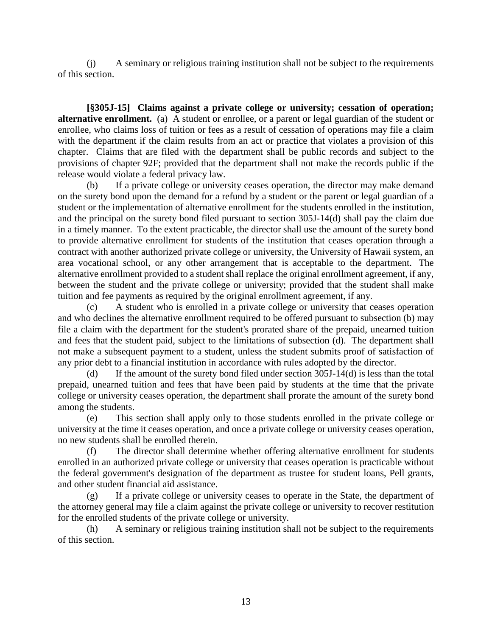(j) A seminary or religious training institution shall not be subject to the requirements of this section.

**[§305J-15] Claims against a private college or university; cessation of operation; alternative enrollment.** (a) A student or enrollee, or a parent or legal guardian of the student or enrollee, who claims loss of tuition or fees as a result of cessation of operations may file a claim with the department if the claim results from an act or practice that violates a provision of this chapter. Claims that are filed with the department shall be public records and subject to the provisions of chapter 92F; provided that the department shall not make the records public if the release would violate a federal privacy law.

(b) If a private college or university ceases operation, the director may make demand on the surety bond upon the demand for a refund by a student or the parent or legal guardian of a student or the implementation of alternative enrollment for the students enrolled in the institution, and the principal on the surety bond filed pursuant to section 305J-14(d) shall pay the claim due in a timely manner. To the extent practicable, the director shall use the amount of the surety bond to provide alternative enrollment for students of the institution that ceases operation through a contract with another authorized private college or university, the University of Hawaii system, an area vocational school, or any other arrangement that is acceptable to the department. The alternative enrollment provided to a student shall replace the original enrollment agreement, if any, between the student and the private college or university; provided that the student shall make tuition and fee payments as required by the original enrollment agreement, if any.

(c) A student who is enrolled in a private college or university that ceases operation and who declines the alternative enrollment required to be offered pursuant to subsection (b) may file a claim with the department for the student's prorated share of the prepaid, unearned tuition and fees that the student paid, subject to the limitations of subsection (d). The department shall not make a subsequent payment to a student, unless the student submits proof of satisfaction of any prior debt to a financial institution in accordance with rules adopted by the director.

(d) If the amount of the surety bond filed under section 305J-14(d) is less than the total prepaid, unearned tuition and fees that have been paid by students at the time that the private college or university ceases operation, the department shall prorate the amount of the surety bond among the students.

(e) This section shall apply only to those students enrolled in the private college or university at the time it ceases operation, and once a private college or university ceases operation, no new students shall be enrolled therein.

(f) The director shall determine whether offering alternative enrollment for students enrolled in an authorized private college or university that ceases operation is practicable without the federal government's designation of the department as trustee for student loans, Pell grants, and other student financial aid assistance.

(g) If a private college or university ceases to operate in the State, the department of the attorney general may file a claim against the private college or university to recover restitution for the enrolled students of the private college or university.

(h) A seminary or religious training institution shall not be subject to the requirements of this section.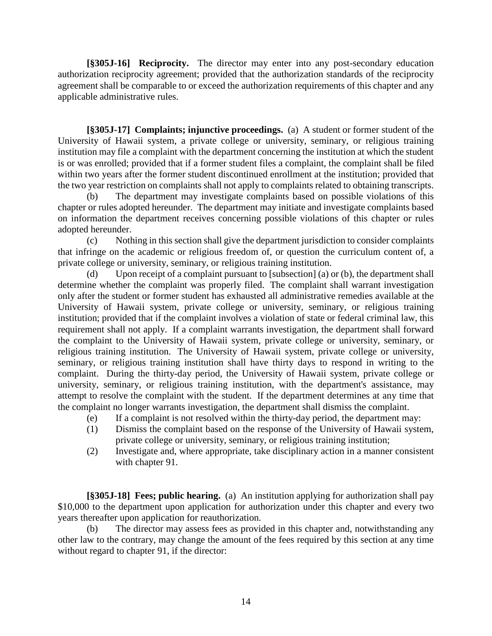**[§305J-16] Reciprocity.** The director may enter into any post-secondary education authorization reciprocity agreement; provided that the authorization standards of the reciprocity agreement shall be comparable to or exceed the authorization requirements of this chapter and any applicable administrative rules.

**[§305J-17] Complaints; injunctive proceedings.** (a) A student or former student of the University of Hawaii system, a private college or university, seminary, or religious training institution may file a complaint with the department concerning the institution at which the student is or was enrolled; provided that if a former student files a complaint, the complaint shall be filed within two years after the former student discontinued enrollment at the institution; provided that the two year restriction on complaints shall not apply to complaints related to obtaining transcripts.

(b) The department may investigate complaints based on possible violations of this chapter or rules adopted hereunder. The department may initiate and investigate complaints based on information the department receives concerning possible violations of this chapter or rules adopted hereunder.

(c) Nothing in this section shall give the department jurisdiction to consider complaints that infringe on the academic or religious freedom of, or question the curriculum content of, a private college or university, seminary, or religious training institution.

(d) Upon receipt of a complaint pursuant to [subsection] (a) or (b), the department shall determine whether the complaint was properly filed. The complaint shall warrant investigation only after the student or former student has exhausted all administrative remedies available at the University of Hawaii system, private college or university, seminary, or religious training institution; provided that if the complaint involves a violation of state or federal criminal law, this requirement shall not apply. If a complaint warrants investigation, the department shall forward the complaint to the University of Hawaii system, private college or university, seminary, or religious training institution. The University of Hawaii system, private college or university, seminary, or religious training institution shall have thirty days to respond in writing to the complaint. During the thirty-day period, the University of Hawaii system, private college or university, seminary, or religious training institution, with the department's assistance, may attempt to resolve the complaint with the student. If the department determines at any time that the complaint no longer warrants investigation, the department shall dismiss the complaint.

- (e) If a complaint is not resolved within the thirty-day period, the department may:
- (1) Dismiss the complaint based on the response of the University of Hawaii system, private college or university, seminary, or religious training institution;
- (2) Investigate and, where appropriate, take disciplinary action in a manner consistent with chapter 91.

**[§305J-18] Fees; public hearing.** (a)An institution applying for authorization shall pay \$10,000 to the department upon application for authorization under this chapter and every two years thereafter upon application for reauthorization.

(b) The director may assess fees as provided in this chapter and, notwithstanding any other law to the contrary, may change the amount of the fees required by this section at any time without regard to chapter 91, if the director: